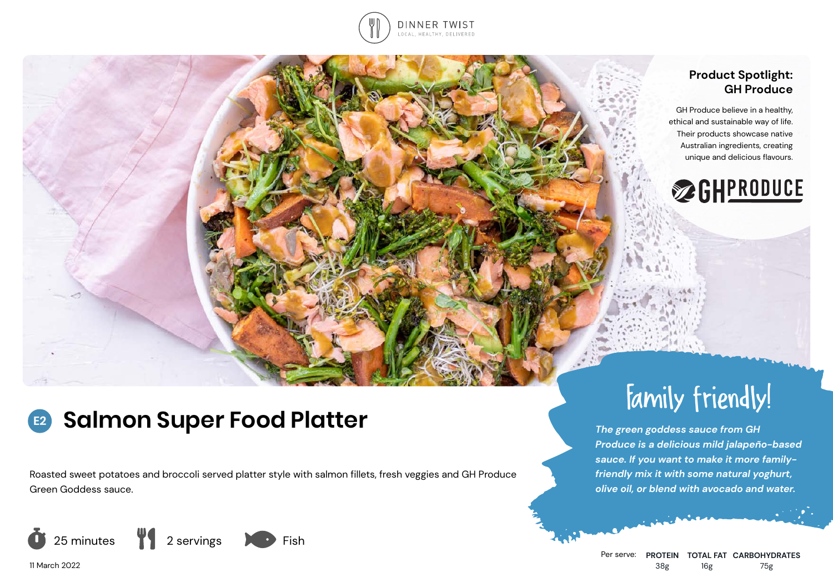

# **Product Spotlight: GH Produce**

GH Produce believe in a healthy, ethical and sustainable way of life. Their products showcase native Australian ingredients, creating unique and delicious flavours.



#### **Salmon Super Food Platter E2**

Roasted sweet potatoes and broccoli served platter style with salmon fillets, fresh veggies and GH Produce Green Goddess sauce.



Per serve: **PROTEIN TOTAL FAT CARBOHYDRATES** 38g 16g 75g

Family friendly!

*Produce is a delicious mild jalapeño-based sauce. If you want to make it more familyfriendly mix it with some natural yoghurt, olive oil, or blend with avocado and water.*

*The green goddess sauce from GH* 

11 March 2022